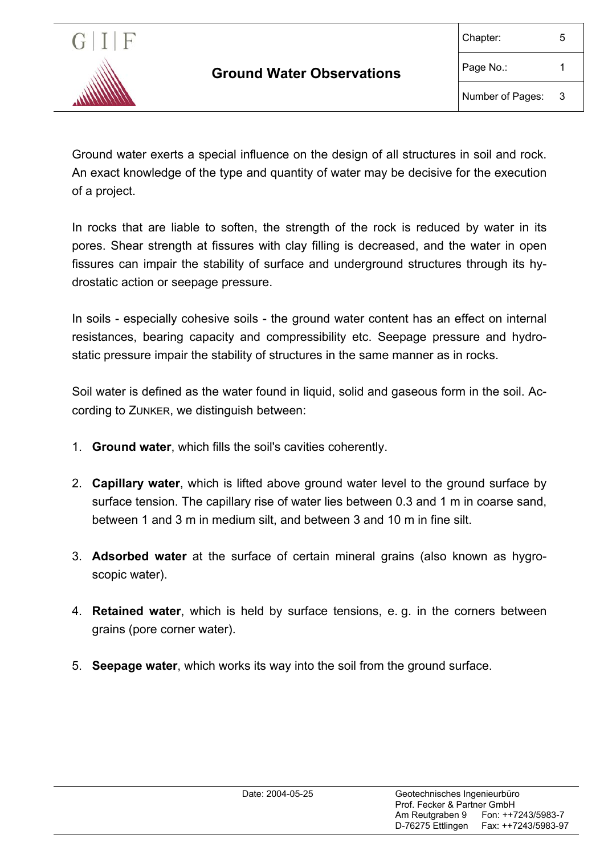

Ground water exerts a special influence on the design of all structures in soil and rock. An exact knowledge of the type and quantity of water may be decisive for the execution of a project.

In rocks that are liable to soften, the strength of the rock is reduced by water in its pores. Shear strength at fissures with clay filling is decreased, and the water in open fissures can impair the stability of surface and underground structures through its hydrostatic action or seepage pressure.

In soils - especially cohesive soils - the ground water content has an effect on internal resistances, bearing capacity and compressibility etc. Seepage pressure and hydrostatic pressure impair the stability of structures in the same manner as in rocks.

Soil water is defined as the water found in liquid, solid and gaseous form in the soil. According to ZUNKER, we distinguish between:

- 1. **Ground water**, which fills the soil's cavities coherently.
- 2. **Capillary water**, which is lifted above ground water level to the ground surface by surface tension. The capillary rise of water lies between 0.3 and 1 m in coarse sand, between 1 and 3 m in medium silt, and between 3 and 10 m in fine silt.
- 3. **Adsorbed water** at the surface of certain mineral grains (also known as hygroscopic water).
- 4. **Retained water**, which is held by surface tensions, e. g. in the corners between grains (pore corner water).
- 5. **Seepage water**, which works its way into the soil from the ground surface.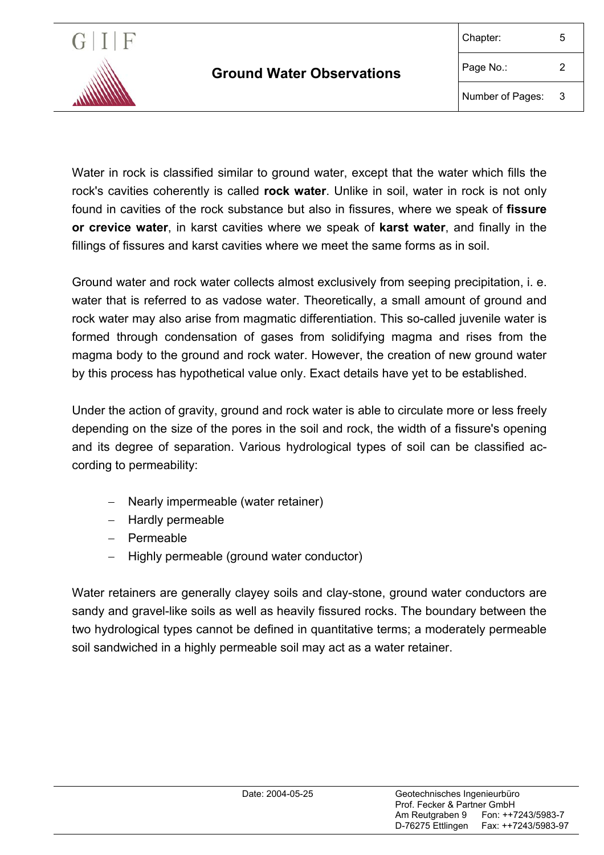

Water in rock is classified similar to ground water, except that the water which fills the rock's cavities coherently is called **rock water**. Unlike in soil, water in rock is not only found in cavities of the rock substance but also in fissures, where we speak of **fissure or crevice water**, in karst cavities where we speak of **karst water**, and finally in the fillings of fissures and karst cavities where we meet the same forms as in soil.

Ground water and rock water collects almost exclusively from seeping precipitation, i. e. water that is referred to as vadose water. Theoretically, a small amount of ground and rock water may also arise from magmatic differentiation. This so-called juvenile water is formed through condensation of gases from solidifying magma and rises from the magma body to the ground and rock water. However, the creation of new ground water by this process has hypothetical value only. Exact details have yet to be established.

Under the action of gravity, ground and rock water is able to circulate more or less freely depending on the size of the pores in the soil and rock, the width of a fissure's opening and its degree of separation. Various hydrological types of soil can be classified according to permeability:

- − Nearly impermeable (water retainer)
- − Hardly permeable
- − Permeable
- − Highly permeable (ground water conductor)

Water retainers are generally clayey soils and clay-stone, ground water conductors are sandy and gravel-like soils as well as heavily fissured rocks. The boundary between the two hydrological types cannot be defined in quantitative terms; a moderately permeable soil sandwiched in a highly permeable soil may act as a water retainer.